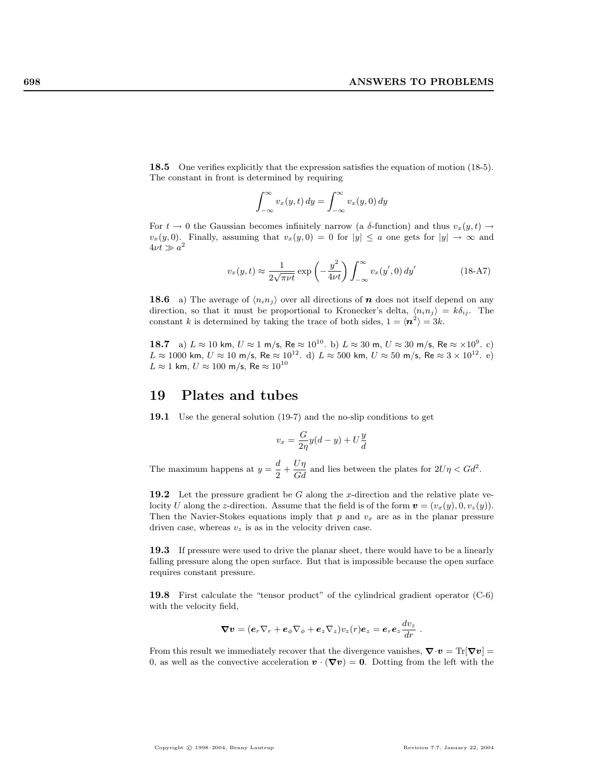18.5 One verifies explicitly that the expression satisfies the equation of motion (18-5). The constant in front is determined by requiring

$$
\int_{-\infty}^{\infty} v_x(y, t) dy = \int_{-\infty}^{\infty} v_x(y, 0) dy
$$

For  $t \to 0$  the Gaussian becomes infinitely narrow (a  $\delta$ -function) and thus  $v_x(y, t) \to$  $v_x(y, 0)$ . Finally, assuming that  $v_x(y, 0) = 0$  for  $|y| \le a$  one gets for  $|y| \to \infty$  and  $4\nu t \gg a^2$ 

$$
v_x(y,t) \approx \frac{1}{2\sqrt{\pi\nu t}} \exp\left(-\frac{y^2}{4\nu t}\right) \int_{-\infty}^{\infty} v_x(y',0) \, dy' \tag{18-A7}
$$

**18.6** a) The average of  $\langle n_i n_j \rangle$  over all directions of n does not itself depend on any direction, so that it must be proportional to Kronecker's delta,  $\langle n_i n_j \rangle = k \delta_{ij}$ . The constant k is determined by taking the trace of both sides,  $1 = \langle n^2 \rangle = 3k$ .

**18.7** a)  $L \approx 10$  km,  $U \approx 1$  m/s, Re  $\approx 10^{10}$ . b)  $L \approx 30$  m,  $U \approx 30$  m/s, Re  $\approx \times 10^{9}$ . c)  $L \approx 1000$  km,  $U \approx 10$  m/s, Re  $\approx 10^{12}$ . d)  $L \approx 500$  km,  $U \approx 50$  m/s, Re  $\approx 3 \times 10^{12}$ . e)  $L \approx 1$  km,  $U \approx 100$  m/s, Re  $\approx 10^{10}$ 

## 19 Plates and tubes

19.1 Use the general solution (19-7) and the no-slip conditions to get

$$
v_x = \frac{G}{2\eta}y(d-y) + U\frac{y}{d}
$$

The maximum happens at  $y = \frac{d}{dx}$  $\frac{d}{2} + \frac{U\eta}{Gd}$  and lies between the plates for  $2U\eta < Gd^2$ .

19.2 Let the pressure gradient be G along the x-direction and the relative plate velocity U along the z-direction. Assume that the field is of the form  $\mathbf{v} = (v_x(y), 0, v_z(y))$ . Then the Navier-Stokes equations imply that p and  $v_x$  are as in the planar pressure driven case, whereas  $v_z$  is as in the velocity driven case.

19.3 If pressure were used to drive the planar sheet, there would have to be a linearly falling pressure along the open surface. But that is impossible because the open surface requires constant pressure.

19.8 First calculate the "tensor product" of the cylindrical gradient operator (C-6) with the velocity field,

$$
\boldsymbol{\nabla} \boldsymbol{v} = (e_r \nabla_r + e_{\phi} \nabla_{\phi} + e_z \nabla_z) v_z(r) e_z = e_r e_z \frac{dv_z}{dr}.
$$

From this result we immediately recover that the divergence vanishes,  $\nabla \cdot v = \text{Tr}[\nabla v] =$ 0, as well as the convective acceleration  $\mathbf{v} \cdot (\nabla \mathbf{v}) = \mathbf{0}$ . Dotting from the left with the